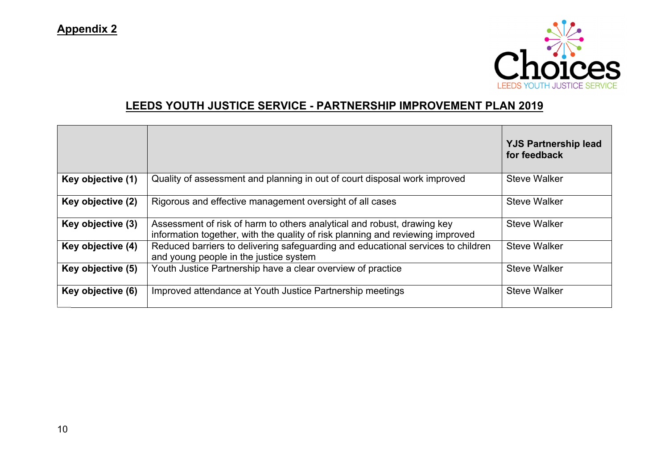

## **LEEDS YOUTH JUSTICE SERVICE - PARTNERSHIP IMPROVEMENT PLAN 2019**

|                   |                                                                                                                                                           | <b>YJS Partnership lead</b><br>for feedback |
|-------------------|-----------------------------------------------------------------------------------------------------------------------------------------------------------|---------------------------------------------|
| Key objective (1) | Quality of assessment and planning in out of court disposal work improved                                                                                 | <b>Steve Walker</b>                         |
| Key objective (2) | Rigorous and effective management oversight of all cases                                                                                                  | <b>Steve Walker</b>                         |
| Key objective (3) | Assessment of risk of harm to others analytical and robust, drawing key<br>information together, with the quality of risk planning and reviewing improved | <b>Steve Walker</b>                         |
| Key objective (4) | Reduced barriers to delivering safeguarding and educational services to children<br>and young people in the justice system                                | <b>Steve Walker</b>                         |
| Key objective (5) | Youth Justice Partnership have a clear overview of practice                                                                                               | <b>Steve Walker</b>                         |
| Key objective (6) | Improved attendance at Youth Justice Partnership meetings                                                                                                 | <b>Steve Walker</b>                         |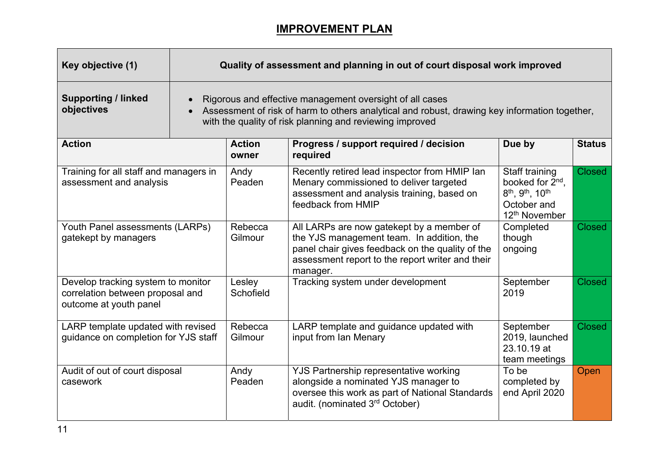## **IMPROVEMENT PLAN**

| Key objective (1)                                                                                | Quality of assessment and planning in out of court disposal work improved |                                                                                                                                                                                                                       |                                                                                                                                                                                                            |                                                                                                                                                    |               |  |
|--------------------------------------------------------------------------------------------------|---------------------------------------------------------------------------|-----------------------------------------------------------------------------------------------------------------------------------------------------------------------------------------------------------------------|------------------------------------------------------------------------------------------------------------------------------------------------------------------------------------------------------------|----------------------------------------------------------------------------------------------------------------------------------------------------|---------------|--|
| <b>Supporting / linked</b><br>objectives                                                         |                                                                           | Rigorous and effective management oversight of all cases<br>Assessment of risk of harm to others analytical and robust, drawing key information together,<br>with the quality of risk planning and reviewing improved |                                                                                                                                                                                                            |                                                                                                                                                    |               |  |
| <b>Action</b>                                                                                    |                                                                           | <b>Action</b><br>owner                                                                                                                                                                                                | Progress / support required / decision<br>required                                                                                                                                                         | Due by                                                                                                                                             | <b>Status</b> |  |
| Training for all staff and managers in<br>assessment and analysis                                |                                                                           | Andy<br>Peaden                                                                                                                                                                                                        | Recently retired lead inspector from HMIP lan<br>Menary commissioned to deliver targeted<br>assessment and analysis training, based on<br>feedback from HMIP                                               | Staff training<br>booked for 2 <sup>nd</sup> .<br>8 <sup>th</sup> , 9 <sup>th</sup> , 10 <sup>th</sup><br>October and<br>12 <sup>th</sup> November | <b>Closed</b> |  |
| Youth Panel assessments (LARPs)<br>gatekept by managers                                          |                                                                           | Rebecca<br>Gilmour                                                                                                                                                                                                    | All LARPs are now gatekept by a member of<br>the YJS management team. In addition, the<br>panel chair gives feedback on the quality of the<br>assessment report to the report writer and their<br>manager. | Completed<br>though<br>ongoing                                                                                                                     | <b>Closed</b> |  |
| Develop tracking system to monitor<br>correlation between proposal and<br>outcome at youth panel |                                                                           | Lesley<br>Schofield                                                                                                                                                                                                   | Tracking system under development                                                                                                                                                                          | September<br>2019                                                                                                                                  | <b>Closed</b> |  |
| LARP template updated with revised<br>guidance on completion for YJS staff                       |                                                                           | Rebecca<br>Gilmour                                                                                                                                                                                                    | LARP template and guidance updated with<br>input from Ian Menary                                                                                                                                           | September<br>2019, launched<br>23.10.19 at<br>team meetings                                                                                        | <b>Closed</b> |  |
| Audit of out of court disposal<br>casework                                                       |                                                                           | Andy<br>Peaden                                                                                                                                                                                                        | YJS Partnership representative working<br>alongside a nominated YJS manager to<br>oversee this work as part of National Standards<br>audit. (nominated 3 <sup>rd</sup> October)                            | To be<br>completed by<br>end April 2020                                                                                                            | Open          |  |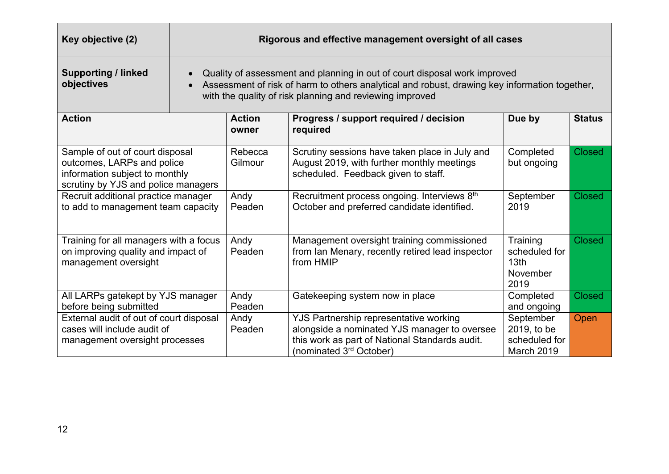| Key objective (2)                                                                                                                      | Rigorous and effective management oversight of all cases |                                                                                                                                                                                                                                        |                                                                                                                                                                                 |                                                                   |               |  |  |
|----------------------------------------------------------------------------------------------------------------------------------------|----------------------------------------------------------|----------------------------------------------------------------------------------------------------------------------------------------------------------------------------------------------------------------------------------------|---------------------------------------------------------------------------------------------------------------------------------------------------------------------------------|-------------------------------------------------------------------|---------------|--|--|
| <b>Supporting / linked</b><br>objectives                                                                                               |                                                          | Quality of assessment and planning in out of court disposal work improved<br>Assessment of risk of harm to others analytical and robust, drawing key information together,<br>with the quality of risk planning and reviewing improved |                                                                                                                                                                                 |                                                                   |               |  |  |
| <b>Action</b>                                                                                                                          |                                                          | <b>Action</b><br>owner                                                                                                                                                                                                                 | Progress / support required / decision<br>required                                                                                                                              | Due by                                                            | <b>Status</b> |  |  |
| Sample of out of court disposal<br>outcomes, LARPs and police<br>information subject to monthly<br>scrutiny by YJS and police managers |                                                          | Rebecca<br>Gilmour                                                                                                                                                                                                                     | Scrutiny sessions have taken place in July and<br>August 2019, with further monthly meetings<br>scheduled. Feedback given to staff.                                             | Completed<br>but ongoing                                          | <b>Closed</b> |  |  |
| Recruit additional practice manager<br>to add to management team capacity                                                              |                                                          | Andy<br>Peaden                                                                                                                                                                                                                         | Recruitment process ongoing. Interviews 8th<br>October and preferred candidate identified.                                                                                      | September<br>2019                                                 | <b>Closed</b> |  |  |
| Training for all managers with a focus<br>on improving quality and impact of<br>management oversight                                   |                                                          | Andy<br>Peaden                                                                                                                                                                                                                         | Management oversight training commissioned<br>from Ian Menary, recently retired lead inspector<br>from HMIP                                                                     | Training<br>scheduled for<br>13 <sub>th</sub><br>November<br>2019 | <b>Closed</b> |  |  |
| All LARPs gatekept by YJS manager<br>before being submitted                                                                            |                                                          | Andy<br>Peaden                                                                                                                                                                                                                         | Gatekeeping system now in place                                                                                                                                                 | Completed<br>and ongoing                                          | <b>Closed</b> |  |  |
| External audit of out of court disposal<br>cases will include audit of<br>management oversight processes                               |                                                          | Andy<br>Peaden                                                                                                                                                                                                                         | YJS Partnership representative working<br>alongside a nominated YJS manager to oversee<br>this work as part of National Standards audit.<br>(nominated 3 <sup>rd</sup> October) | September<br>2019, to be<br>scheduled for<br>March 2019           | Open          |  |  |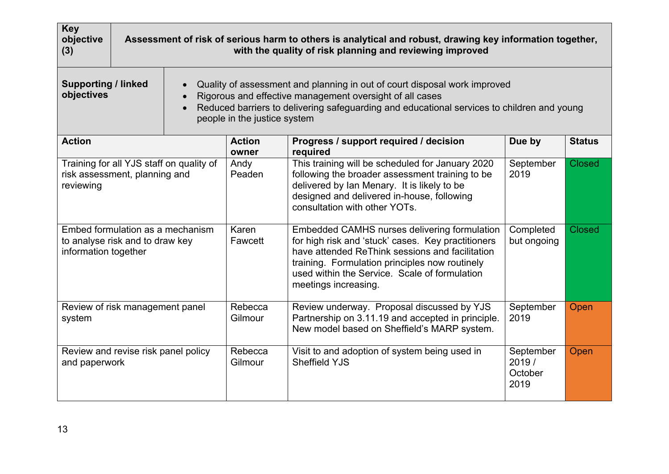| <b>Key</b><br>objective<br>(3)                                                              |                                                                                                                                                                                                                                                                                                                |                                          |                                                                                                                                                                                                                                                                                  | Assessment of risk of serious harm to others is analytical and robust, drawing key information together,<br>with the quality of risk planning and reviewing improved                                                              |                                       |               |  |
|---------------------------------------------------------------------------------------------|----------------------------------------------------------------------------------------------------------------------------------------------------------------------------------------------------------------------------------------------------------------------------------------------------------------|------------------------------------------|----------------------------------------------------------------------------------------------------------------------------------------------------------------------------------------------------------------------------------------------------------------------------------|-----------------------------------------------------------------------------------------------------------------------------------------------------------------------------------------------------------------------------------|---------------------------------------|---------------|--|
| objectives                                                                                  | <b>Supporting / linked</b><br>Quality of assessment and planning in out of court disposal work improved<br>Rigorous and effective management oversight of all cases<br>$\bullet$<br>Reduced barriers to delivering safeguarding and educational services to children and young<br>people in the justice system |                                          |                                                                                                                                                                                                                                                                                  |                                                                                                                                                                                                                                   |                                       |               |  |
| <b>Action</b>                                                                               |                                                                                                                                                                                                                                                                                                                |                                          | <b>Action</b><br>owner                                                                                                                                                                                                                                                           | Progress / support required / decision<br>required                                                                                                                                                                                | Due by                                | <b>Status</b> |  |
| reviewing                                                                                   | risk assessment, planning and                                                                                                                                                                                                                                                                                  | Training for all YJS staff on quality of | Andy<br>Peaden                                                                                                                                                                                                                                                                   | This training will be scheduled for January 2020<br>following the broader assessment training to be<br>delivered by Ian Menary. It is likely to be<br>designed and delivered in-house, following<br>consultation with other YOTs. | September<br>2019                     | <b>Closed</b> |  |
| Embed formulation as a mechanism<br>to analyse risk and to draw key<br>information together |                                                                                                                                                                                                                                                                                                                | Karen<br>Fawcett                         | Embedded CAMHS nurses delivering formulation<br>for high risk and 'stuck' cases. Key practitioners<br>have attended ReThink sessions and facilitation<br>training. Formulation principles now routinely<br>used within the Service. Scale of formulation<br>meetings increasing. | Completed<br>but ongoing                                                                                                                                                                                                          | <b>Closed</b>                         |               |  |
| system                                                                                      | Review of risk management panel                                                                                                                                                                                                                                                                                |                                          | Rebecca<br>Gilmour                                                                                                                                                                                                                                                               | Review underway. Proposal discussed by YJS<br>Partnership on 3.11.19 and accepted in principle.<br>New model based on Sheffield's MARP system.                                                                                    | September<br>2019                     | Open          |  |
| and paperwork                                                                               | Review and revise risk panel policy                                                                                                                                                                                                                                                                            |                                          | Rebecca<br>Gilmour                                                                                                                                                                                                                                                               | Visit to and adoption of system being used in<br><b>Sheffield YJS</b>                                                                                                                                                             | September<br>2019/<br>October<br>2019 | Open          |  |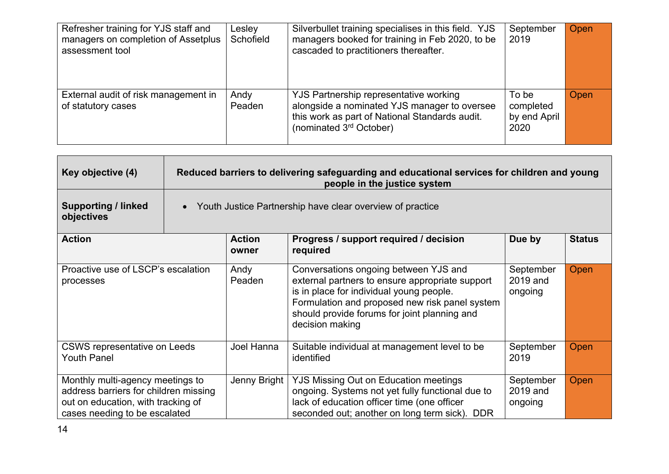| Refresher training for YJS staff and<br>managers on completion of Assetplus<br>assessment tool | Lesley<br>Schofield | Silverbullet training specialises in this field. YJS<br>managers booked for training in Feb 2020, to be<br>cascaded to practitioners thereafter.                                | September<br>2019                          | Open |
|------------------------------------------------------------------------------------------------|---------------------|---------------------------------------------------------------------------------------------------------------------------------------------------------------------------------|--------------------------------------------|------|
| External audit of risk management in<br>of statutory cases                                     | Andy<br>Peaden      | YJS Partnership representative working<br>alongside a nominated YJS manager to oversee<br>this work as part of National Standards audit.<br>(nominated 3 <sup>rd</sup> October) | To be<br>completed<br>by end April<br>2020 | Open |

| Key objective (4)                                                                                                                                | Reduced barriers to delivering safeguarding and educational services for children and young<br>people in the justice system |                        |                                                                                                                                                                                                                                                           |                                  |               |  |
|--------------------------------------------------------------------------------------------------------------------------------------------------|-----------------------------------------------------------------------------------------------------------------------------|------------------------|-----------------------------------------------------------------------------------------------------------------------------------------------------------------------------------------------------------------------------------------------------------|----------------------------------|---------------|--|
| <b>Supporting / linked</b><br>objectives                                                                                                         |                                                                                                                             |                        | Youth Justice Partnership have clear overview of practice                                                                                                                                                                                                 |                                  |               |  |
| <b>Action</b>                                                                                                                                    |                                                                                                                             | <b>Action</b><br>owner | Progress / support required / decision<br>required                                                                                                                                                                                                        | Due by                           | <b>Status</b> |  |
| Proactive use of LSCP's escalation<br>processes                                                                                                  |                                                                                                                             | Andy<br>Peaden         | Conversations ongoing between YJS and<br>external partners to ensure appropriate support<br>is in place for individual young people.<br>Formulation and proposed new risk panel system<br>should provide forums for joint planning and<br>decision making | September<br>2019 and<br>ongoing | Open          |  |
| <b>CSWS representative on Leeds</b><br><b>Youth Panel</b>                                                                                        |                                                                                                                             | Joel Hanna             | Suitable individual at management level to be<br>identified                                                                                                                                                                                               | September<br>2019                | Open          |  |
| Monthly multi-agency meetings to<br>address barriers for children missing<br>out on education, with tracking of<br>cases needing to be escalated |                                                                                                                             | Jenny Bright           | <b>YJS Missing Out on Education meetings</b><br>ongoing. Systems not yet fully functional due to<br>lack of education officer time (one officer<br>seconded out; another on long term sick). DDR                                                          | September<br>2019 and<br>ongoing | Open          |  |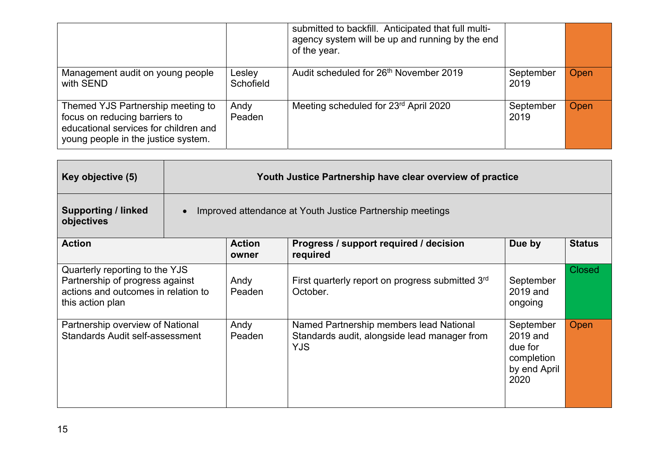|                                                                                                                                                    |                     | submitted to backfill. Anticipated that full multi-<br>agency system will be up and running by the end<br>of the year. |                   |      |
|----------------------------------------------------------------------------------------------------------------------------------------------------|---------------------|------------------------------------------------------------------------------------------------------------------------|-------------------|------|
| Management audit on young people<br>with SEND                                                                                                      | Lesley<br>Schofield | Audit scheduled for 26 <sup>th</sup> November 2019                                                                     | September<br>2019 | Open |
| Themed YJS Partnership meeting to<br>focus on reducing barriers to<br>educational services for children and<br>young people in the justice system. | Andy<br>Peaden      | Meeting scheduled for 23rd April 2020                                                                                  | September<br>2019 | Open |

| Key objective (5)                                                                                                            | Youth Justice Partnership have clear overview of practice |                                                           |                                                                                                       |                                                                        |               |  |  |
|------------------------------------------------------------------------------------------------------------------------------|-----------------------------------------------------------|-----------------------------------------------------------|-------------------------------------------------------------------------------------------------------|------------------------------------------------------------------------|---------------|--|--|
| <b>Supporting / linked</b><br>objectives                                                                                     |                                                           | Improved attendance at Youth Justice Partnership meetings |                                                                                                       |                                                                        |               |  |  |
| <b>Action</b>                                                                                                                |                                                           | <b>Action</b><br>owner                                    | Progress / support required / decision<br>required                                                    | Due by                                                                 | <b>Status</b> |  |  |
| Quarterly reporting to the YJS<br>Partnership of progress against<br>actions and outcomes in relation to<br>this action plan |                                                           | Andy<br>Peaden                                            | First quarterly report on progress submitted 3rd<br>October.                                          | September<br>2019 and<br>ongoing                                       | <b>Closed</b> |  |  |
| Partnership overview of National<br>Standards Audit self-assessment                                                          |                                                           | Andy<br>Peaden                                            | Named Partnership members lead National<br>Standards audit, alongside lead manager from<br><b>YJS</b> | September<br>2019 and<br>due for<br>completion<br>by end April<br>2020 | Open          |  |  |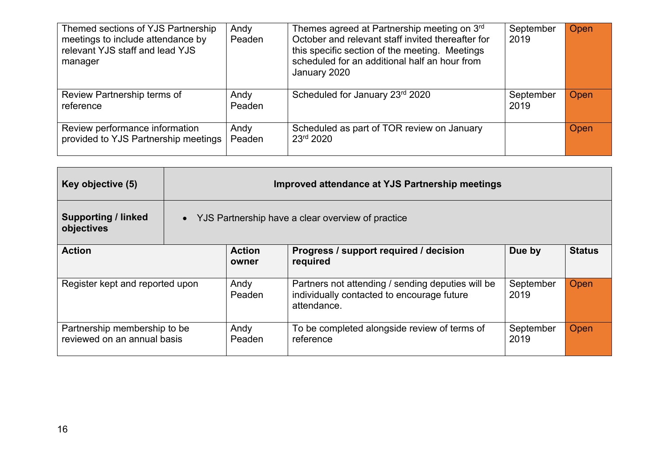| Themed sections of YJS Partnership<br>meetings to include attendance by<br>relevant YJS staff and lead YJS<br>manager | Andy<br>Peaden | Themes agreed at Partnership meeting on 3rd<br>October and relevant staff invited thereafter for<br>this specific section of the meeting. Meetings<br>scheduled for an additional half an hour from<br>January 2020 | September<br>2019 | Open |
|-----------------------------------------------------------------------------------------------------------------------|----------------|---------------------------------------------------------------------------------------------------------------------------------------------------------------------------------------------------------------------|-------------------|------|
| Review Partnership terms of<br>reference                                                                              | Andy<br>Peaden | Scheduled for January 23rd 2020                                                                                                                                                                                     | September<br>2019 | Open |
| Review performance information<br>provided to YJS Partnership meetings                                                | Andy<br>Peaden | Scheduled as part of TOR review on January<br>23rd 2020                                                                                                                                                             |                   | Open |

| Key objective (5)                                           | Improved attendance at YJS Partnership meetings   |                                                                                                                |                   |               |  |  |
|-------------------------------------------------------------|---------------------------------------------------|----------------------------------------------------------------------------------------------------------------|-------------------|---------------|--|--|
| <b>Supporting / linked</b><br>objectives                    | YJS Partnership have a clear overview of practice |                                                                                                                |                   |               |  |  |
| <b>Action</b>                                               | <b>Action</b><br>owner                            | Progress / support required / decision<br>required                                                             | Due by            | <b>Status</b> |  |  |
| Register kept and reported upon                             | Andy<br>Peaden                                    | Partners not attending / sending deputies will be<br>individually contacted to encourage future<br>attendance. | September<br>2019 | Open          |  |  |
| Partnership membership to be<br>reviewed on an annual basis | Andy<br>Peaden                                    | To be completed alongside review of terms of<br>reference                                                      | September<br>2019 | Open          |  |  |